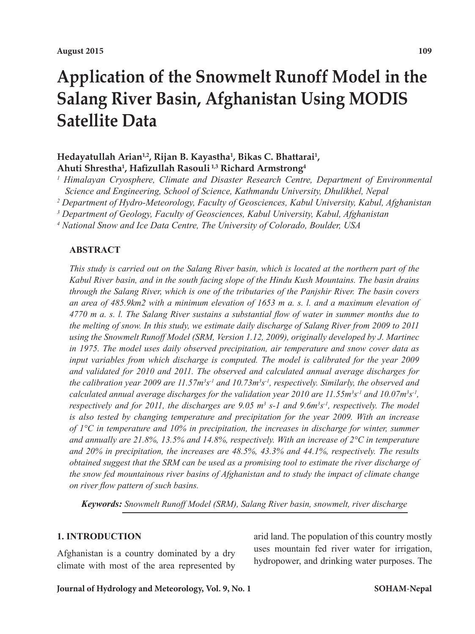# **Application of the Snowmelt Runoff Model in the Salang River Basin, Afghanistan Using MODIS Satellite Data**

# Hedayatullah Arian<sup>1,2</sup>, Rijan B. Kayastha<sup>1</sup>, Bikas C. Bhattarai<sup>1</sup>, **Ahuti Shrestha1 , Hafizullah Rasouli 1,3 Richard Armstrong4**

<sup>1</sup> Himalayan Cryosphere, Climate and Disaster Research Centre, Department of Environmental *Science and Engineering, School of Science, Kathmandu University, Dhulikhel, Nepal*

*2 Department of Hydro-Meteorology, Faculty of Geosciences, Kabul University, Kabul, Afghanistan*

*3 Department of Geology, Faculty of Geosciences, Kabul University, Kabul, Afghanistan*

*4 National Snow and Ice Data Centre, The University of Colorado, Boulder, USA*

#### **ABSTRACT**

*This study is carried out on the Salang River basin, which is located at the northern part of the Kabul River basin, and in the south facing slope of the Hindu Kush Mountains. The basin drains through the Salang River, which is one of the tributaries of the Panjshir River. The basin covers*  an area of 485.9km2 with a minimum elevation of 1653 m a. s. l. and a maximum elevation of *4770 m a. s. l. The Salang River sustains a substantial flow of water in summer months due to the melting of snow. In this study, we estimate daily discharge of Salang River from 2009 to 2011 using the Snowmelt Runoff Model (SRM, Version 1.12, 2009), originally developed by J. Martinec in 1975. The model uses daily observed precipitation, air temperature and snow cover data as*  input variables from which discharge is computed. The model is calibrated for the year 2009 *and validated for 2010 and 2011. The observed and calculated annual average discharges for the calibration year 2009 are 11.57m<sup>3</sup> s-1 and 10.73m3 s-1, respectively. Similarly, the observed and*  calculated annual average discharges for the validation year 2010 are 11.55m<sup>3</sup>s<sup>-1</sup> and 10.07m<sup>3</sup>s<sup>-1</sup>, *respectively and for 2011, the discharges are 9.05 m<sup>3</sup> s-1 and 9.6m<sup>3</sup> s-1, respectively. The model is also tested by changing temperature and precipitation for the year 2009. With an increase of 1°C in temperature and 10% in precipitation, the increases in discharge for winter, summer and annually are 21.8%, 13.5% and 14.8%, respectively. With an increase of 2°C in temperature and 20% in precipitation, the increases are 48.5%, 43.3% and 44.1%, respectively. The results obtained suggest that the SRM can be used as a promising tool to estimate the river discharge of the snow fed mountainous river basins of Afghanistan and to study the impact of climate change on river flow pattern of such basins.* 

*Keywords: Snowmelt Runoff Model (SRM), Salang River basin, snowmelt, river discharge*

#### **1. INTRODUCTION**

Afghanistan is a country dominated by a dry climate with most of the area represented by

arid land. The population of this country mostly uses mountain fed river water for irrigation, hydropower, and drinking water purposes. The

#### **Journal of Hydrology and Meteorology, Vol. 9, No. 1**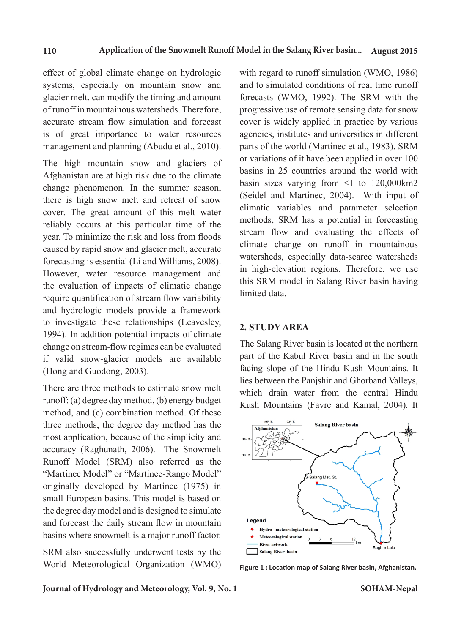effect of global climate change on hydrologic systems, especially on mountain snow and glacier melt, can modify the timing and amount of runoff in mountainous watersheds. Therefore, accurate stream flow simulation and forecast is of great importance to water resources management and planning (Abudu et al., 2010).

The high mountain snow and glaciers of Afghanistan are at high risk due to the climate change phenomenon. In the summer season, there is high snow melt and retreat of snow cover. The great amount of this melt water reliably occurs at this particular time of the year. To minimize the risk and loss from floods caused by rapid snow and glacier melt, accurate forecasting is essential (Li and Williams, 2008). However, water resource management and the evaluation of impacts of climatic change require quantification of stream flow variability and hydrologic models provide a framework to investigate these relationships (Leavesley, 1994). In addition potential impacts of climate change on stream-flow regimes can be evaluated if valid snow-glacier models are available (Hong and Guodong, 2003).

There are three methods to estimate snow melt runoff: (a) degree day method, (b) energy budget method, and (c) combination method. Of these three methods, the degree day method has the most application, because of the simplicity and accuracy (Raghunath, 2006). The Snowmelt Runoff Model (SRM) also referred as the "Martinec Model" or "Martinec-Rango Model" originally developed by Martinec (1975) in small European basins. This model is based on the degree day model and is designed to simulate and forecast the daily stream flow in mountain basins where snowmelt is a major runoff factor.

SRM also successfully underwent tests by the World Meteorological Organization (WMO) with regard to runoff simulation (WMO, 1986) and to simulated conditions of real time runoff forecasts (WMO, 1992). The SRM with the progressive use of remote sensing data for snow cover is widely applied in practice by various agencies, institutes and universities in different parts of the world (Martinec et al., 1983). SRM or variations of it have been applied in over 100 basins in 25 countries around the world with basin sizes varying from  $\leq 1$  to 120,000 km2 (Seidel and Martinec, 2004). With input of climatic variables and parameter selection methods, SRM has a potential in forecasting stream flow and evaluating the effects of climate change on runoff in mountainous watersheds, especially data-scarce watersheds in high-elevation regions. Therefore, we use this SRM model in Salang River basin having limited data.

#### **2. STUDY AREA**

The Salang River basin is located at the northern part of the Kabul River basin and in the south facing slope of the Hindu Kush Mountains. It lies between the Panjshir and Ghorband Valleys, which drain water from the central Hindu Kush Mountains (Favre and Kamal, 2004). It



**Figure 1 : Location map of Salang River basin, Afghanistan.**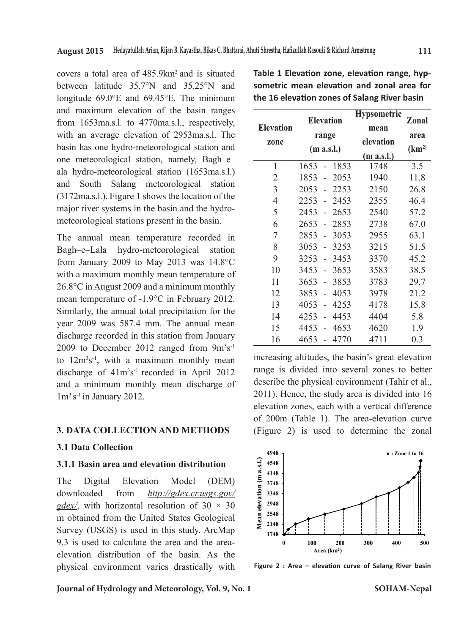covers a total area of 485.9km2 and is situated between latitude 35.7°N and 35.25°N and longitude 69.0°E and 69.45°E. The minimum and maximum elevation of the basin ranges from 1653ma.s.l. to 4770ma.s.l., respectively, with an average elevation of 2953ma.s.l. The basin has one hydro-meteorological station and one meteorological station, namely, Bagh–e– ala hydro-meteorological station (1653ma.s.l.) and South Salang meteorological station (3172ma.s.l.). Figure 1 shows the location of the major river systems in the basin and the hydrometeorological stations present in the basin.

The annual mean temperature recorded in Bagh–e–Lala hydro-meteorological station from January 2009 to May 2013 was 14.8°C with a maximum monthly mean temperature of 26.8°C in August 2009 and a minimum monthly mean temperature of -1.9°C in February 2012. Similarly, the annual total precipitation for the year 2009 was 587.4 mm. The annual mean discharge recorded in this station from January 2009 to December 2012 ranged from  $9m^3s^{-1}$ to  $12m^3s^{-1}$ , with a maximum monthly mean discharge of  $41m^3s^{-1}$  recorded in April 2012 and a minimum monthly mean discharge of  $1m<sup>3</sup> s<sup>-1</sup>$  in January 2012.

#### **3. DATA COLLECTION AND METHODS**

#### **3.1 Data Collection**

#### **3.1.1 Basin area and elevation distribution**

The Digital Elevation Model (DEM) downloaded from *http://gdex.cr.usgs.gov/ gdex*, with horizontal resolution of  $30 \times 30$ m obtained from the United States Geological Survey (USGS) is used in this study. ArcMap 9.3 is used to calculate the area and the areaelevation distribution of the basin. As the physical environment varies drastically with **Elevation zone Elevation range (m a.s.l.) Hypsometric mean elevation (m a.s.l.) Zonal area (km2)** 1 1653 - 1853 1748 3.5 2 1853 - 2053 1940 11.8 3 2053 - 2253 2150 26.8 4 2253 - 2453 2355 46.4 5 2453 - 2653 2540 57.2 6 2653 - 2853 2738 67.0 7 2853 - 3053 2955 63.1 8 3053 - 3253 3215 51.5 9 3253 - 3453 3370 45.2 10 3453 - 3653 3583 38.5 11 3653 - 3853 3783 29.7 12 3853 - 4053 3978 21.2 13 4053 - 4253 4178 15.8 14 4253 - 4453 4404 5.8 15 4453 - 4653 4620 1.9 16 4653 - 4770 4711 0.3

**Table 1 Elevation zone, elevation range, hypsometric mean elevation and zonal area for the 16 elevation zones of Salang River basin**

increasing altitudes, the basin's great elevation range is divided into several zones to better describe the physical environment (Tahir et al., 2011). Hence, the study area is divided into 16 elevation zones, each with a vertical difference of 200m (Table 1). The area-elevation curve (Figure 2) is used to determine the zonal



**Figure 2 : Area – elevation curve of Salang River basin**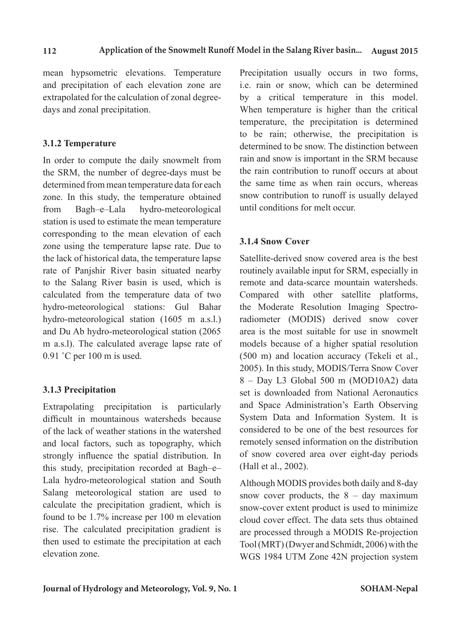mean hypsometric elevations. Temperature and precipitation of each elevation zone are extrapolated for the calculation of zonal degreedays and zonal precipitation.

# **3.1.2 Temperature**

In order to compute the daily snowmelt from the SRM, the number of degree-days must be determined from mean temperature data for each zone. In this study, the temperature obtained from Bagh–e–Lala hydro-meteorological station is used to estimate the mean temperature corresponding to the mean elevation of each zone using the temperature lapse rate. Due to the lack of historical data, the temperature lapse rate of Panjshir River basin situated nearby to the Salang River basin is used, which is calculated from the temperature data of two hydro-meteorological stations: Gul Bahar hydro-meteorological station (1605 m a.s.l.) and Du Ab hydro-meteorological station (2065 m a.s.l). The calculated average lapse rate of 0.91 ˚C per 100 m is used.

# **3.1.3 Precipitation**

Extrapolating precipitation is particularly difficult in mountainous watersheds because of the lack of weather stations in the watershed and local factors, such as topography, which strongly influence the spatial distribution. In this study, precipitation recorded at Bagh–e– Lala hydro-meteorological station and South Salang meteorological station are used to calculate the precipitation gradient, which is found to be 1.7% increase per 100 m elevation rise. The calculated precipitation gradient is then used to estimate the precipitation at each elevation zone.

Precipitation usually occurs in two forms, i.e. rain or snow, which can be determined by a critical temperature in this model. When temperature is higher than the critical temperature, the precipitation is determined to be rain; otherwise, the precipitation is determined to be snow. The distinction between rain and snow is important in the SRM because the rain contribution to runoff occurs at about the same time as when rain occurs, whereas snow contribution to runoff is usually delayed until conditions for melt occur.

# **3.1.4 Snow Cover**

Satellite-derived snow covered area is the best routinely available input for SRM, especially in remote and data-scarce mountain watersheds. Compared with other satellite platforms, the Moderate Resolution Imaging Spectroradiometer (MODIS) derived snow cover area is the most suitable for use in snowmelt models because of a higher spatial resolution (500 m) and location accuracy (Tekeli et al., 2005). In this study, MODIS/Terra Snow Cover 8 – Day L3 Global 500 m (MOD10A2) data set is downloaded from National Aeronautics and Space Administration's Earth Observing System Data and Information System. It is considered to be one of the best resources for remotely sensed information on the distribution of snow covered area over eight-day periods (Hall et al., 2002).

Although MODIS provides both daily and 8-day snow cover products, the  $8 - day$  maximum snow-cover extent product is used to minimize cloud cover effect. The data sets thus obtained are processed through a MODIS Re-projection Tool (MRT)(Dwyer and Schmidt, 2006) with the WGS 1984 UTM Zone 42N projection system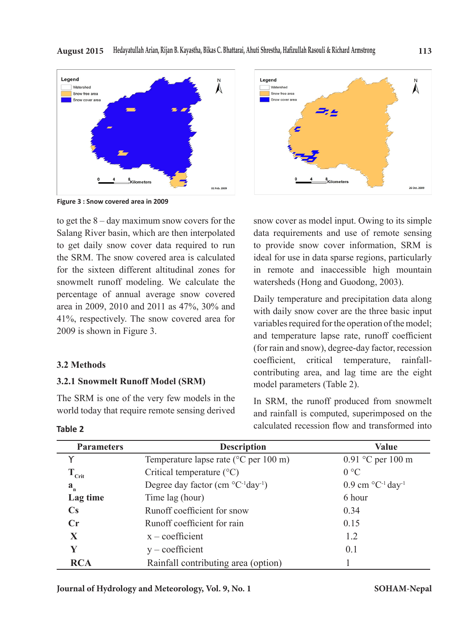

**Figure 3 : Snow covered area in 2009**

to get the 8 – day maximum snow covers for the Salang River basin, which are then interpolated to get daily snow cover data required to run the SRM. The snow covered area is calculated for the sixteen different altitudinal zones for snowmelt runoff modeling. We calculate the percentage of annual average snow covered area in 2009, 2010 and 2011 as 47%, 30% and 41%, respectively. The snow covered area for 2009 is shown in Figure 3.

#### **3.2 Methods**

#### **3.2.1 Snowmelt Runoff Model (SRM)**

The SRM is one of the very few models in the world today that require remote sensing derived



snow cover as model input. Owing to its simple data requirements and use of remote sensing to provide snow cover information, SRM is ideal for use in data sparse regions, particularly in remote and inaccessible high mountain watersheds (Hong and Guodong, 2003).

Daily temperature and precipitation data along with daily snow cover are the three basic input variables required for the operation of the model; and temperature lapse rate, runoff coefficient (for rain and snow), degree-day factor, recession coefficient, critical temperature, rainfallcontributing area, and lag time are the eight model parameters (Table 2).

In SRM, the runoff produced from snowmelt and rainfall is computed, superimposed on the calculated recession flow and transformed into

| <b>Parameters</b>      | <b>Description</b>                                 | Value                                                 |  |
|------------------------|----------------------------------------------------|-------------------------------------------------------|--|
|                        | Temperature lapse rate ( ${}^{\circ}$ C per 100 m) | 0.91 °C per 100 m                                     |  |
| $T_{\rm Crit}$         | Critical temperature $(^{\circ}C)$                 | 0 °C                                                  |  |
| $\mathbf{a}_{n}$       | Degree day factor (cm $^{\circ}C^{-1}day^{-1}$ )   | $0.9 \text{ cm}^{\circ}\text{C}^{-1} \text{day}^{-1}$ |  |
| Lag time               | Time lag (hour)                                    | 6 hour                                                |  |
| $\mathbf{C}\mathbf{s}$ | Runoff coefficient for snow                        | 0.34                                                  |  |
| $\mathbf{C}$ r         | Runoff coefficient for rain                        | 0.15                                                  |  |
| X                      | $x$ – coefficient                                  | 1.2                                                   |  |
| Y                      | $y$ – coefficient                                  | 0.1                                                   |  |
| <b>RCA</b>             | Rainfall contributing area (option)                |                                                       |  |

**Table 2**

**Journal of Hydrology and Meteorology, Vol. 9, No. 1**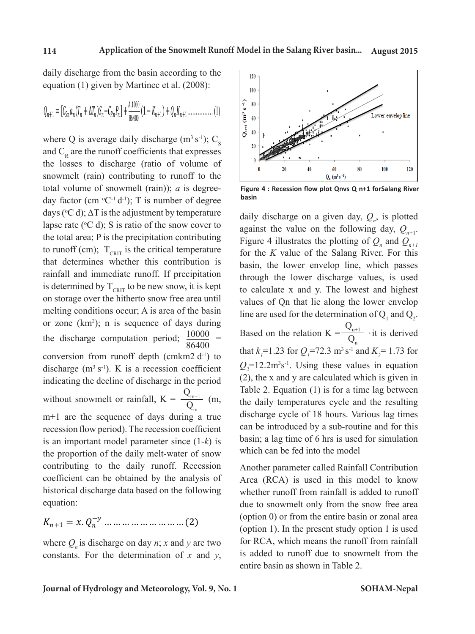daily discharge from the basin according to the equation (1) given by Martinec et al. (2008):

$$
Q_{n+1} = [C_{\text{Sn}}a_n(T_n + \Delta T_n)S_n + C_{\text{Rn}}P_n] + \frac{A.1000}{86400}(1 - K_{n+1}) + Q_n K_{n+1} \dots \dots \dots \dots \dots (1)
$$

where Q is average daily discharge ( $m<sup>3</sup> s<sup>-1</sup>$ ); C<sub>S</sub> and  $C_R$  are the runoff coefficients that expresses the losses to discharge (ratio of volume of snowmelt (rain) contributing to runoff to the total volume of snowmelt (rain)); *a* is degreeday factor (cm  ${}^{\circ}C^{-1}$  d<sup>-1</sup>); T is number of degree days ( $\degree$ C d);  $\Delta T$  is the adjustment by temperature lapse rate ( $\degree$ C d); S is ratio of the snow cover to the total area; P is the precipitation contributing to runoff (cm);  $T_{\text{CRIT}}$  is the critical temperature that determines whether this contribution is  $r_{\text{air}}$  rainfall and immediate runoff. If precipitation  $r_{\text{through}}$  the lower is determined by  $T_{\text{cnrt}}$  to be new snow, it is kept to calculate x and on storage over the hitherto snow free area until on storage over the interior show free area untilly values of Qn that melting conditions occur; A is area of the basin or zone  $(km^2)$ ; n is sequence of days during the discharge computation period;  $\frac{10000}{0.6400}$ 86400 the discharge computation period;  $\frac{10000}{86400}$  = conversion from runoff depth (cmkm2 d<sup>-1</sup>) to  $\frac{\ln \alpha_1}{\alpha_1}$  i.25 for  $\alpha$ discharge  $(m<sup>3</sup> s<sup>-1</sup>)$ . K is a recession coefficient indicating the decline of discharge in the period without snowmelt or rainfall,  $K = \frac{Q_{m+1}}{Q_{m+1}}$  $Q_m^{m+1}$  (m, m+1 are the sequence of days during a true recession flow period). The recession coefficient can be introduced is an important model parameter since (1-*k*) is the proportion of the daily melt-water of snow which can be fed contributing to the daily runoff. Recession Another parameter since (1-*k*) is the parameter since (1-*k*) is the proportion of the proportion of the proportion of the proportion of the proportion of the proportion of the coefficient can be obtained by the analysis of historical discharge data based on the following whether runoff from equation:  $\frac{1}{\sqrt{2}}$  is kept on storage over the snow free area units of  $\frac{1}{\sqrt{2}}$  in  $\frac{1}{\sqrt{2}}$  in  $\frac{1}{\sqrt{2}}$  in  $\frac{1}{\sqrt{2}}$  in  $\frac{1}{\sqrt{2}}$  in  $\frac{1}{\sqrt{2}}$  in  $\frac{1}{\sqrt{2}}$  in  $\frac{1}{\sqrt{2}}$  in  $\frac{1}{\sqrt{2}}$  in  $\frac{1}{\sqrt{2}}$  $\frac{Q}{\sqrt{Q}}$  is a interesting computation  $\frac{Q}{\sqrt{Q}}$  . Equation  $Q_m$  discharge (m3 second depth  $Q_m$ ) discharge (m3 second discharge (m3 second discharge (m3 second discharge (m3 second) obtained by the analysis of historical discharge data based on the following equation:

 $K_{n+1} = x \cdot Q_n^{-y} \dots \dots \dots \dots \dots \dots \dots \dots (2)$ 

where  $Q_n$  is discharge on day *n*; *x* and *y* are two constants. For RCA, which is constants. For the determination of *x* and *y*,



**Figure 4 : Recession flow plot Qnvs Q n+1 forSalang River basin**

the daily temperatures cycle and the resulting discharge cycle of 18 hours. Various lag times daily discharge on a given day,  $Q_n$ , is plotted against the value on the following day,  $Q_{n+1}$ . Figure 4 illustrates the plotting of  $Q_n$  and  $Q_{n+1}$ for the *K* value of the Salang River. For this basin, the lower envelop line, which passes through the lower discharge values, is used to calculate x and y. The lowest and highest values of Qn that lie along the lower envelop line are used for the determination of  $Q_1$  and  $Q_2$ . Based on the relation  $K = \frac{Q_{n+1}}{Q}$  $\frac{\zeta_{n+1}}{Q_n}$  it is derived that  $k_1 = 1.23$  for  $Q_1 = 72.3$  m<sup>3</sup> s<sup>-1</sup> and  $K_2 = 1.73$  for  $Q_2$ =12.2m<sup>3</sup>s<sup>-1</sup>. Using these values in equation (2), the x and y are calculated which is given in Table 2. Equation (1) is for a time lag between can be introduced by a sub-routine and for this basin; a lag time of 6 hrs is used for simulation which can be fed into the model

dentire basin as shown in Table 2. Another parameter called Rainfall Contribution Area (RCA) is used in this model to know whether runoff from rainfall is added to runoff due to snowmelt only from the snow free area (option 0) or from the entire basin or zonal area (option 1). In the present study option 1 is used for RCA, which means the runoff from rainfall is added to runoff due to snowmelt from the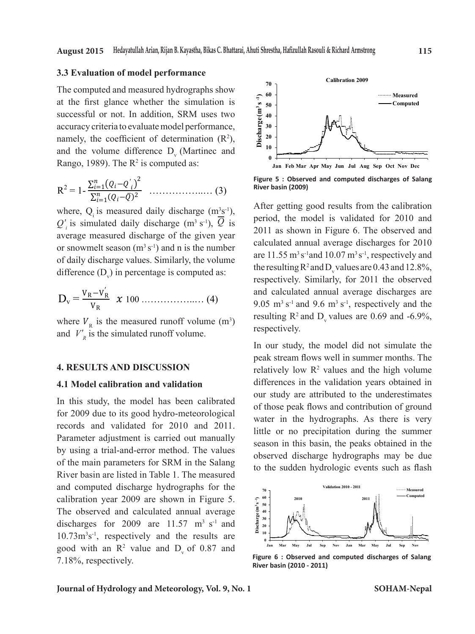#### **3.3 Evaluation of model performance**

The computed and measured hydrographs show at the first glance whether the simulation is  $\frac{1}{2}$  s<sub>a</sub> s<sub>0</sub> and  $\frac{1}{2}$  computed and measured hydrographs show at the simulation is  $\frac{1}{2}$  s<sub>a</sub> s<sub>0</sub> and  $\frac{1}{2}$  computed and  $\frac{1}{2}$  computed by  $\frac{1}{2}$  co successful or not. In addition, SRM uses two The computed and measured hydrographs show at the first glance whether the simulation is accuracy criteria to evaluate model performance,  $\frac{2}{\pi}$  30  $\frac{1}{2}$ namely, the coefficient of determination  $(R^2)$ ,  $\frac{1}{2}$  20  $\frac{1}{2}$ and the volume difference  $D_{v}$  (Martinec and  $D_{v}$  associated as: Rango, 1989). The  $\mathbb{R}^2$  is computed as: <sup>3.33</sup> State of the first algnee what  $\begin{bmatrix} \text{accuracy}} \\ \text{inter.} \\ \text{matrix} \\ \text{matrix} \\ \text{matrix} \\ \text{matrix} \end{bmatrix}$ and the volume difference D (Martinec and  $\begin{bmatrix} 1 & 2 \end{bmatrix}$  and  $\begin{bmatrix} 2 & 10 \end{bmatrix}$ 

$$
R^{2} = 1 - \frac{\sum_{i=1}^{n} (Q_{i} - Q_{i}')^{2}}{\sum_{i=1}^{n} (Q_{i} - \overline{Q})^{2}} \dots \dots \dots \dots \dots \dots \dots (3)
$$

where,  $Q_i$  is measured daily discharge (m<sup>3</sup>s<sup>-1</sup>),  $\overline{Q}$  is a simulated daily discharge (m<sup>3</sup>s<sup>-1</sup>),  $\overline{Q}$  is  $Q'$ <sup>*i*</sup> is simulated daily discharge (m<sup>3</sup> s<sup>-1</sup>),  $\overline{Q}$  is  $\epsilon_i$  as shown in Figure measured discharge of the given year  $\epsilon_i$  and  $\epsilon_i$  shown in Figure 2011 as shown in Figure 2011 as shown in Figure 2011 as shown in Figure 2011 as shown in Figure 3. difference  $(D_v)$  in percentage is computed as: average measured discharge of the given year or snowmelt season  $(m^3 s^{-1})$  and n is the number  $n^2 s^{-3}$ of daily discharge values. Similarly, the volume difference of daily discharge values. Similarly, the volume

$$
D_{v} = \frac{V_{R} - V_{R}^{'}}{V_{R}} \times 100 \dots \dots \dots \dots \dots \dots (4)
$$

where  $V_R$  is the measured runoff volume (m<sup>3</sup>) and  $V'_R$  is the simulated runoff volume.

#### **4.1 Model calibration and validation 4. RESULT AND DISCUSSION 4. RESULTS AND DISCUSSION**

# **4.1 Model calibration and validation 4.1 Model calibration and validation**

records and validated for 2010 and 2011. Water in the hydrographs. As there observed discharge hydrographs may<br>of the main parameters for SRM in the Salang<br>the the sudden hydrologie synta such River basin are listed in Table 1. The measured and computed discharge hydrographs for the discharges for 2009 are 11.57 m<sup>3</sup> s<sup>-1</sup> and  $\frac{2}{3}$   $\frac{1}{2}$   $\frac{1}{2}$   $\frac{1}{2}$   $\frac{1}{2}$   $\frac{1}{2}$  $20.73 \text{ m/s}$ , respectively the the results the  $0 + \frac{1}{2}$  $7.18%$ , respectively. In this study, the model has been calibrated our study are autoured to in for 2009 due to its good hydro-meteorological water in the hydrographs. A by using a trial-and-error method. The values because the measured discharge hydrographs of the main parameters for SKIVI in the Salang to the sudden hydrologic events such as flash and computed discharge hydrographs for the calibration year 2009 are shown in Figure 5.  $10.73 \text{m}^3\text{s}^{-1}$ , respectively and the results are  $\frac{201}{\text{s}}$ good with an  $R^2$  value and  $D_v$  of 0.87 and  $I_v$  and  $I_v$  are  $I_v$  and  $I_v$  are  $I_v$  and  $I_v$  and  $I_v$  and  $I_v$  and  $I_v$  and  $I_v$  and  $I_v$  and  $I_v$  and  $I_v$  and  $I_v$  and  $I_v$  and  $I_v$  and  $I_v$  and  $I_v$  and  $I_v$  and  $I_v$ Parameter adjustment is carried out manually The observed and calculated annual average



**Figure 5 : Observed and computed discharges of Salang River basin (2009)**

 $\lim_{(m^2 s^{-1})}$ , period, the model is validated for 2010 and igure 6. The obse or snowmelt season (m<sup>3</sup> s<sup>-1</sup>) and n is the number<br>of daily discharge values. Similarly, the volume are 11.55 m<sup>3</sup> s<sup>-1</sup>and 10.07 m<sup>3</sup> s<sup>-1</sup>, respectively and resulting  $R^2$  and  $D_v$  values are 0.69 and -6.9%, ), is 2011 as shown in Figure 6. The observed and calculated annual average discharges for 2010  $respectively.$ After getting good results from the calibration the resulting  $R^2$  and  $D_v$  values are 0.43 and 12.8%, respectively. Similarly, for 2011 the observed and calculated annual average discharges are 9.05  $\mathrm{m}^3$  s<sup>-1</sup> and 9.6  $\mathrm{m}^3$  s<sup>-1</sup>, respectively and the

 $\frac{1}{2}$  for this study, the model calibration and vandation  $\frac{1}{2}$  our study are attributed to the underestimates for 2000 due to its good hydro mateoral oriental of those peak flows and contribution of ground Parameter agustment is carried out manually season in this basin, the peaks obtained in the  $\frac{1}{2010}$  and vandated for  $\frac{2010}{2011}$  little or no precipitation during the summer In our study, the model did not simulate the peak stream flows well in summer months. The relatively low  $\mathbb{R}^2$  values and the high volume differences in the validation years obtained in water in the hydrographs. As there is very observed discharge hydrographs may be due



**Figure 6 : Observed and computed discharges of Salang <br>
<b>Figure 6 : Observed and computed discharges of Salang River basin (2010 - 2011) River basin (2010 - 2011)**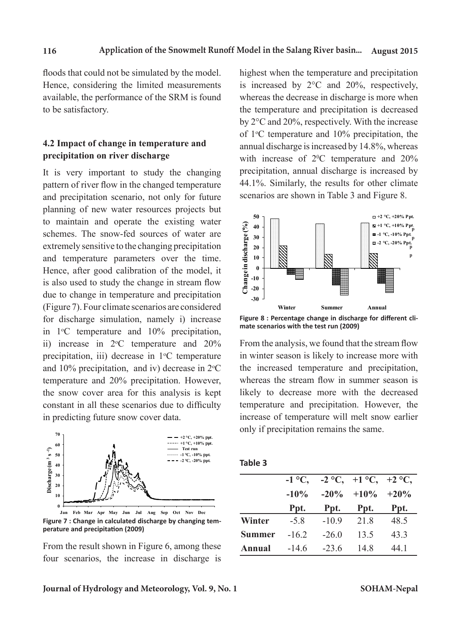floods that could not be simulated by the model. Hence, considering the limited measurements available, the performance of the SRM is found to be satisfactory.

# **4.2 Impact of change in temperature and precipitation on river discharge**

It is very important to study the changing pattern of river flow in the changed temperature and precipitation scenario, not only for future planning of new water resources projects but to maintain and operate the existing water schemes. The snow-fed sources of water are extremely sensitive to the changing precipitation and temperature parameters over the time. Hence, after good calibration of the model, it is also used to study the change in stream flow due to change in temperature and precipitation (Figure 7). Four climate scenarios are considered for discharge simulation, namely i) increase in  $1^{\circ}$ C temperature and  $10\%$  precipitation, ii) increase in  $2^{\circ}$ C temperature and  $20\%$ precipitation, iii) decrease in  $1^{\circ}$ C temperature and 10% precipitation, and iv) decrease in  $2^{\circ}C$ temperature and 20% precipitation. However, the snow cover area for this analysis is kept constant in all these scenarios due to difficulty in predicting future snow cover data.



**Figure 7 : Change in calculated discharge by changing temperature and precipitation (2009) Jan Feb Mar Apr May Jun Jul Aug Sep Oct Nov Dec**

From the result shown in Figure 6, among these four scenarios, the increase in discharge is highest when the temperature and precipitation is increased by 2°C and 20%, respectively, whereas the decrease in discharge is more when the temperature and precipitation is decreased by 2°C and 20%, respectively. With the increase of 1°C temperature and 10% precipitation, the annual discharge is increased by 14.8%, whereas with increase of  $2^0C$  temperature and  $20\%$ precipitation, annual discharge is increased by 44.1%. Similarly, the results for other climate scenarios are shown in Table 3 and Figure 8.



**mate scenarios with the test run (2009)**

From the analysis, we found that the stream flow in winter season is likely to increase more with the increased temperature and precipitation, whereas the stream flow in summer season is likely to decrease more with the decreased temperature and precipitation. However, the increase of temperature will melt snow earlier only if precipitation remains the same.

| . .<br>×<br>۰. | v<br>×<br>٧<br>× |
|----------------|------------------|
|----------------|------------------|

|               | $-1$ °C, |         | $-2$ °C, $+1$ °C, $+2$ °C, |      |
|---------------|----------|---------|----------------------------|------|
|               | $-10\%$  | $-20\%$ | $+10\% +20\%$              |      |
|               | Ppt.     | Ppt.    | Ppt.                       | Ppt. |
| Winter        | $-5.8$   | $-10.9$ | 21.8                       | 48.5 |
| <b>Summer</b> | $-16.2$  | $-26.0$ | 13.5                       | 43.3 |
| Annual        | $-14.6$  | $-236$  | 14.8                       | 44 1 |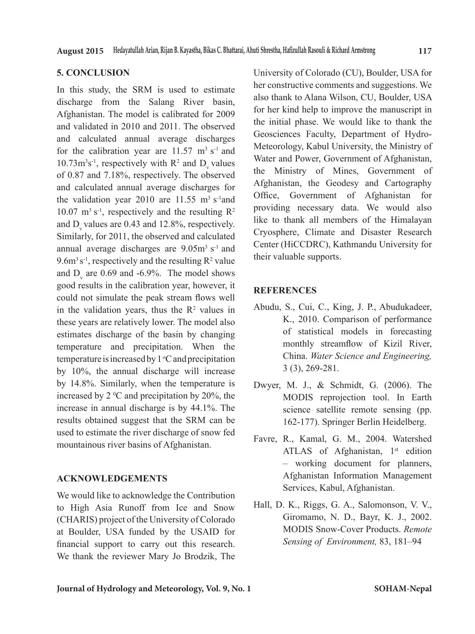# **5. CONCLUSION**

In this study, the SRM is used to estimate discharge from the Salang River basin, Afghanistan. The model is calibrated for 2009 and validated in 2010 and 2011. The observed and calculated annual average discharges for the calibration year are  $11.57 \text{ m}^3 \text{ s}^{-1}$  and  $10.73 \text{m}^3 \text{s}^{-1}$ , respectively with R<sup>2</sup> and D<sub>v</sub> values of 0.87 and 7.18%, respectively. The observed and calculated annual average discharges for the validation year 2010 are  $11.55 \text{ m}^3 \text{ s}^{-1}$  and 10.07  $\text{m}^3$  s<sup>-1</sup>, respectively and the resulting R<sup>2</sup> and  $D<sub>v</sub>$  values are 0.43 and 12.8%, respectively. Similarly, for 2011, the observed and calculated annual average discharges are  $9.05m<sup>3</sup>$  s<sup>-1</sup> and  $9.6m<sup>3</sup>s<sup>-1</sup>$ , respectively and the resulting  $R<sup>2</sup>$  value and  $D_v$  are 0.69 and -6.9%. The model shows good results in the calibration year, however, it could not simulate the peak stream flows well in the validation years, thus the  $\mathbb{R}^2$  values in these years are relatively lower. The model also estimates discharge of the basin by changing temperature and precipitation. When the temperature is increased by  $1^{\circ}$ C and precipitation by 10%, the annual discharge will increase by 14.8%. Similarly, when the temperature is increased by 2  $\mathrm{^0C}$  and precipitation by 20%, the increase in annual discharge is by 44.1%. The results obtained suggest that the SRM can be used to estimate the river discharge of snow fed mountainous river basins of Afghanistan.

# **ACKNOWLEDGEMENTS**

We would like to acknowledge the Contribution to High Asia Runoff from Ice and Snow (CHARIS) project of the University of Colorado at Boulder, USA funded by the USAID for financial support to carry out this research. We thank the reviewer Mary Jo Brodzik, The University of Colorado (CU), Boulder, USA for her constructive comments and suggestions. We also thank to Alana Wilson, CU, Boulder, USA for her kind help to improve the manuscript in the initial phase. We would like to thank the Geosciences Faculty, Department of Hydro-Meteorology, Kabul University, the Ministry of Water and Power, Government of Afghanistan, the Ministry of Mines, Government of Afghanistan, the Geodesy and Cartography Office, Government of Afghanistan for providing necessary data. We would also like to thank all members of the Himalayan Cryosphere, Climate and Disaster Research Center (HiCCDRC), Kathmandu University for their valuable supports.

# **REFERENCES**

- Abudu, S., Cui, C., King, J. P., Abudukadeer, K., 2010. Comparison of performance of statistical models in forecasting monthly streamflow of Kizil River, China. *Water Science and Engineering,*  3 (3), 269-281.
- Dwyer, M. J., & Schmidt, G. (2006). The MODIS reprojection tool. In Earth science satellite remote sensing (pp. 162-177). Springer Berlin Heidelberg.
- Favre, R., Kamal, G. M., 2004. Watershed ATLAS of Afghanistan, 1<sup>st</sup> edition – working document for planners, Afghanistan Information Management Services, Kabul, Afghanistan.
- Hall, D. K., Riggs, G. A., Salomonson, V. V., Giromamo, N. D., Bayr, K. J., 2002. MODIS Snow-Cover Products. *Remote Sensing of Environment,* 83, 181–94